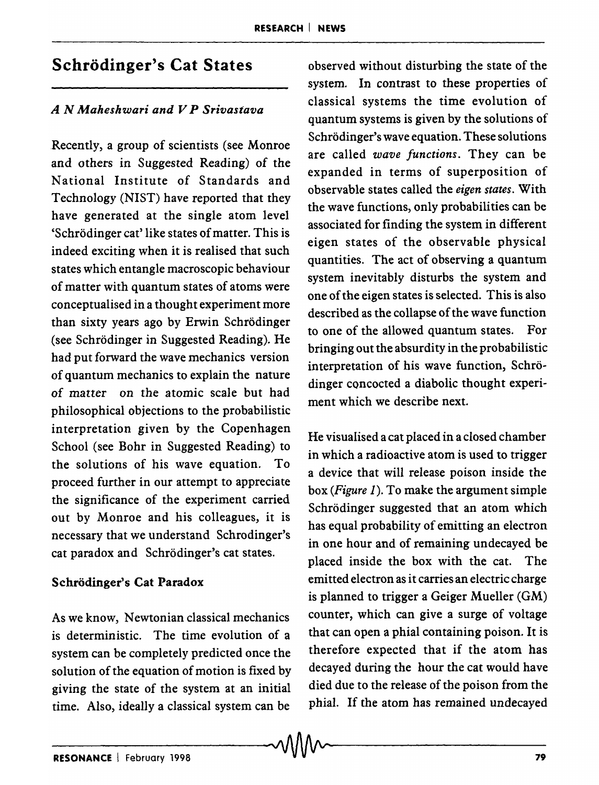# Schrodinger's Cat States

### *A N Maheshwari and V P Srivastava*

Recently, a group of scientists (see Monroe and others in Suggested Reading) of the National Institute of Standards and Technology (NIST) have reported that they have generated at the single atom level 'Schrödinger cat' like states of matter. This is indeed exciting when it is realised that such states which entangle macroscopic behaviour of matter with quantum states of atoms were conceptualised in a thought experiment more than sixty years ago by Erwin Schrodinger (see Schrodinger in Suggested Reading). He had put forward the wave mechanics version of quantum mechanics to explain the nature of matter on the atomic scale but had philosophical objections to the probabilistic interpretation given by the Copenhagen School (see Bohr in Suggested Reading) to the solutions of his wave equation. To proceed further in our attempt to appreciate the significance of the experiment carried out by Monroe and his colleagues, it is necessary that we understand Schrodinger's cat paradox and Schrodinger's cat states.

## Schrödinger's Cat Paradox

As we know, Newtonian classical mechanics is deterministic. The time evolution of a system can be completely predicted once the solution of the equation of motion is fixed by giving the state of the system at an initial time. Also, ideally a classical system can be  $\sim$ MA $\sim$ 

observed without disturbing the state of the system. In contrast to these properties of classical systems the time evolution of quantum systems is given by the solutions of Schrödinger's wave equation. These solutions are called *wave functions.* They can be expanded in terms of superposition of observable states called the *eigen states.* With the wave functions, only probabilities can be associated for finding the system in different eigen states of the observable physical quantities. The act of observing a quantum system inevitably disturbs the system and one of the eigen states is selected. This is also described as the collapse of the wave function to one of the allowed quantum states. For bringing out the absurdity in the probabilistic interpretation of his wave function, Schrodinger concocted a diabolic thought experiment which we describe next.

He visualised a cat placed in a closed chamber in which a radioactive atom is used to trigger a device that will release poison inside the box *(Figure* 1). To make the argument simple Schrödinger suggested that an atom which has equal probability of emitting an electron in one hour and of remaining undecayed be placed inside the box with the cat. The emitted electron as it carries an electric charge is planned to trigger a Geiger Mueller (GM) counter, which can give a surge of voltage that can open a phial containing poison. It is therefore expected that if the atom has decayed during the hour the cat would have died due to the release of the poison from the phial. If the atom has remained undecayed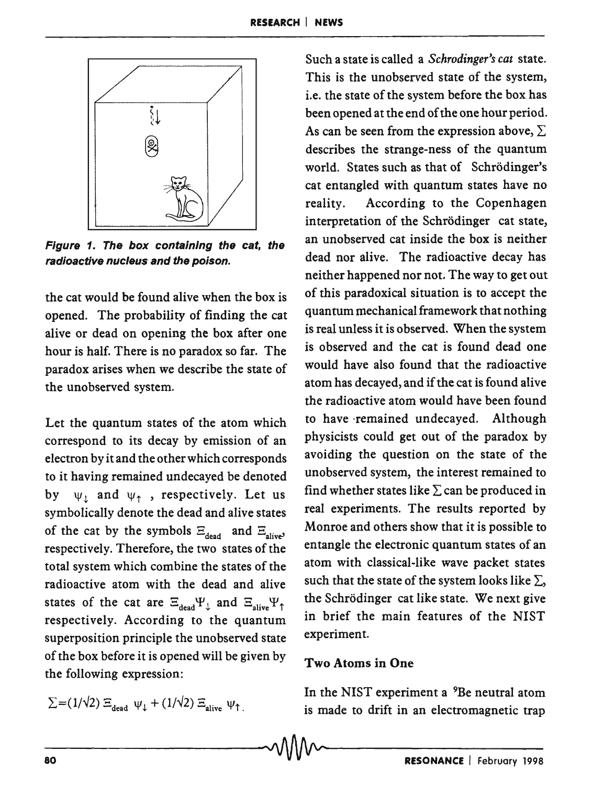

Figure 1. The box containing the cat, the radioactive nucleus and the poison.

the cat would be found alive when the box is opened. The probability of finding the cat alive or dead on opening the box after one hour is half. There is no paradox so far. The paradox arises when we describe the state of the unobserved system.

Let the quantum states of the atom which correspond to its decay by emission of an electron by it and the other which corresponds to it having remained undecayed be denoted by  $\psi_1$  and  $\psi_2$ , respectively. Let us symbolically denote the dead and alive states of the cat by the symbols  $\Xi_{\text{dead}}$  and  $\Xi_{\text{alive}}$ respectively. Therefore, the two states of the total system which combine the states of the radioactive atom with the dead and alive states of the cat are  $\Xi_{\text{dead}} \Psi_{\downarrow}$  and  $\Xi_{\text{alive}} \Psi_{\uparrow}$ respectively. According to the quantum superposition principle the unobserved state of the box before it is opened will be given by the following expression:

$$
\Sigma = (1/\sqrt{2}) \Xi_{\text{dead}} \psi_{\downarrow} + (1/\sqrt{2}) \Xi_{\text{alive}} \psi_{\uparrow}
$$

Such a state is called a *Schrodinger's cat* state. This is the unobserved state of the system, i.e. the state of the system before the box has been opened at the end of the one hour period. As can be seen from the expression above,  $\Sigma$ describes the strange-ness of the quantum world. States such as that of Schrodinger's cat entangled with quantum states have no reality. According to the Copenhagen interpretation of the Schrödinger cat state, an unobserved cat inside the box is neither dead nor alive. The radioactive decay has neither happened nor not. The way to get out of this paradoxical situation is to accept the quantum mechanical framework that nothing is real unless it is observed. When the system is observed and the cat is found dead one would have also found that the radioactive atom has decayed, and if the cat is found alive the radioactive atom would have been found to have 'remained undecayed. Although physicists could get out of the paradox by avoiding the question on the state of the unobserved system, the interest remained to find whether states like  $\Sigma$  can be produced in real experiments. The results reported by Monroe and others show that it is possible to entangle the electronic quantum states of an atom with classical-like wave packet states such that the state of the system looks like  $\Sigma$ , the Schrodinger cat like state. We next give in brief the main features of the NIST experiment.

#### Two Atoms in One

In the NIST experiment a <sup>9</sup>Be neutral atom is made to drift in an electromagnetic trap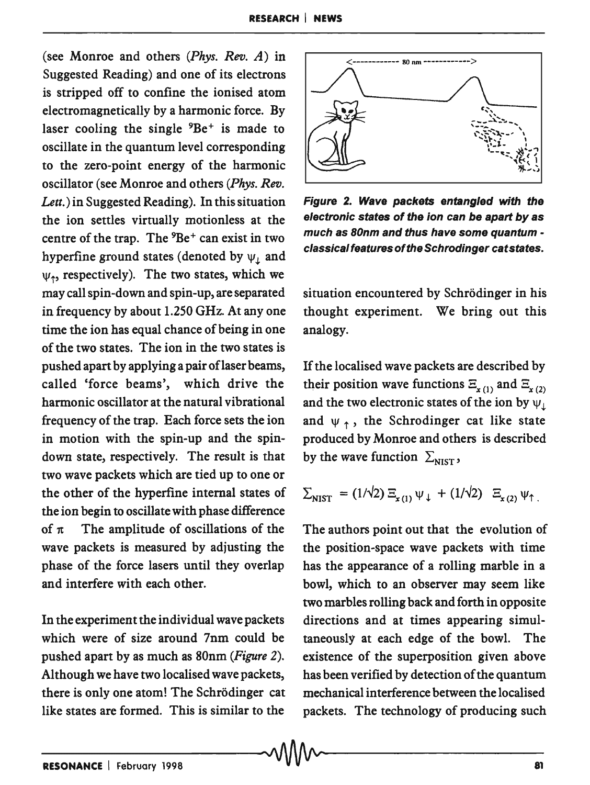(see Monroe and others *(Phys. Rev. A)* in Suggested Reading) and one of its electrons is stripped off to confine the ionised atom electromagnetically by a harmonic force. By laser cooling the single  ${}^{9}Be^+$  is made to oscillate in the quantum level corresponding to the zero-point energy of the harmonic oscillator (see Monroe and others *(Phys. Rev. Lett.)* in Suggested Reading). In this situation the ion settles virtually motionless at the centre of the trap. The  ${}^{9}Be^+$  can exist in two hyperfine ground states (denoted by  $\psi_i$  and  $\psi_1$ , respectively). The two states, which we may call spin-down and spin-up, are separated in frequency by about 1.250 GHz. At anyone time the ion has equal chance of being in one of the two states. The ion in the two states is pushed apart by applying a pair oflaser beams, called 'force beams', which drive the harmonic oscillator at the natural vibrational frequency of the trap. Each force sets the ion in motion with the spin-up and the spindown state, respectively. The result is that two wave packets which are tied up to one or the other of the hyperfine internal states of the ion begin to oscillate with phase difference of  $\pi$  The amplitude of oscillations of the wave packets is measured by adjusting the phase of the force lasers until they overlap and interfere with each other.

In the experiment the individual wave packets which were of size around 7nm could be pushed apart by as much as 80nm *(Figure 2).*  Although we have two localised wave packets, there is only one atom! The Schrodinger cat like states are formed. This is similar to the



Figure 2. Wave packets entangled with the electronic states of the ion can be apart by as much as BOnm and thus have some quantum classical features of the Schrodinger catstates.

situation encountered by Schrödinger in his thought experiment. We bring out this analogy.

If the localised wave packets are described by their position wave functions  $E_{x(1)}$  and  $E_{x(2)}$ and the two electronic states of the ion by  $\psi_{\perp}$ and  $\psi$ , the Schrodinger cat like state produced by Monroe and others is described by the wave function  $\Sigma_{\text{NIST}}$ ,

$$
\Sigma_{\text{NIST}} = (1/\sqrt{2}) \Xi_{x(1)} \psi_{\downarrow} + (1/\sqrt{2}) \Xi_{x(2)} \psi_{\uparrow}
$$

The authors point out that the evolution of the position-space wave packets with time has the appearance of a rolling marble in a bowl, which to an observer may seem like two marbles rolling back and forth in opposite directions and at times appearing simultaneously at each edge of the bowl. The existence of the superposition given above has been verified by detection of the quantum mechanical interference between the localised packets. The technology of producing such